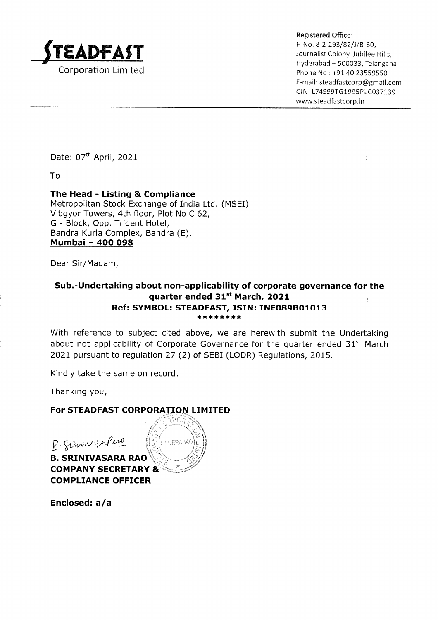

Registered Office:

H.No. 8-2-293/82/J/B-60, Journalist Colony, Jubilee Hills, Hyderabad - 500033, Telangana Phone No: +91 40 23559550 E-ma il: steadfastcorp@gmail.com CIN: L74999TG1995PLC037139 www.steadfastcorp.in

Date: 07<sup>th</sup> April, 2021

To

The Head - Listing & Compliance Metropolitan Stock Exchange of India Ltd. (MSEI) Vibgyor Towers, 4th floor, Plot No C 62, G - Block, Opp. Trident Hotel, Bandra Kurla Complex, Bandra (E), Mumbai - 4OO O98

Dear Sir/Madam,

## Sub.-Undertaking about non-applicability of corporate governance for the quarter ended 31<sup>st</sup> March, 2021 Ref: SYMBOL: STEADFAST, ISIN: INE089B01013 \*\*\*\*\*\*\*\*

With reference to subject cited above, we are herewith submit the Undertaking about not applicability of Corporate Governance for the quarter ended  $31<sup>st</sup>$  March 2021 pursuant to regulation 27 (2) of SEBI (LODR) Regulations, 2015,

Kindly take the same on record.

Thanking you,

### For STEADFAST CORPORA LIMITED

B. Scrim yorkers

B. SRINIVASARA RAO COMPANY SECRETARY COMPLIANCE OFFICER

Enclosed:  $a/a$